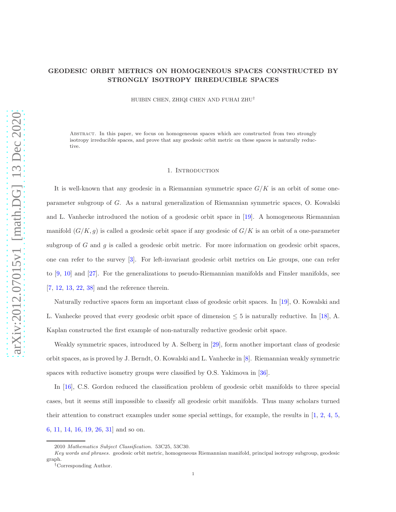# GEODESIC ORBIT METRICS ON HOMOGENEOUS SPACES CONSTRUCTED BY STRONGLY ISOTROPY IRREDUCIBLE SPACES

HUIBIN CHEN, ZHIQI CHEN AND FUHAI ZHU†

Abstract. In this paper, we focus on homogeneous spaces which are constructed from two strongly isotropy irreducible spaces, and prove that any geodesic orbit metric on these spaces is naturally reductive.

### 1. Introduction

It is well-known that any geodesic in a Riemannian symmetric space  $G/K$  is an orbit of some oneparameter subgroup of G. As a natural generalization of Riemannian symmetric spaces, O. Kowalski and L. Vanhecke introduced the notion of a geodesic orbit space in [\[19\]](#page-11-0). A homogeneous Riemannian manifold  $(G/K, g)$  is called a geodesic orbit space if any geodesic of  $G/K$  is an orbit of a one-parameter subgroup of  $G$  and  $g$  is called a geodesic orbit metric. For more information on geodesic orbit spaces, one can refer to the survey [\[3\]](#page-10-0). For left-invariant geodesic orbit metrics on Lie groups, one can refer to [\[9,](#page-11-1) [10\]](#page-11-2) and [\[27\]](#page-11-3). For the generalizations to pseudo-Riemannian manifolds and Finsler manifolds, see [\[7,](#page-11-4) [12,](#page-11-5) [13,](#page-11-6) [22,](#page-11-7) [38\]](#page-11-8) and the reference therein.

Naturally reductive spaces form an important class of geodesic orbit spaces. In [\[19\]](#page-11-0), O. Kowalski and L. Vanhecke proved that every geodesic orbit space of dimension  $\leq 5$  is naturally reductive. In [\[18\]](#page-11-9), A. Kaplan constructed the first example of non-naturally reductive geodesic orbit space.

Weakly symmetric spaces, introduced by A. Selberg in [\[29\]](#page-11-10), form another important class of geodesic orbit spaces, as is proved by J. Berndt, O. Kowalski and L. Vanhecke in [\[8\]](#page-11-11). Riemannian weakly symmetric spaces with reductive isometry groups were classified by O.S. Yakimova in [\[36\]](#page-11-12).

In [\[16\]](#page-11-13), C.S. Gordon reduced the classification problem of geodesic orbit manifolds to three special cases, but it seems still impossible to classify all geodesic orbit manifolds. Thus many scholars turned their attention to construct examples under some special settings, for example, the results in [\[1,](#page-10-1) [2,](#page-10-2) [4,](#page-11-14) [5,](#page-11-15) [6,](#page-11-16) [11,](#page-11-17) [14,](#page-11-18) [16,](#page-11-13) [19,](#page-11-0) [26,](#page-11-19) [31\]](#page-11-20) and so on.

<sup>2010</sup> Mathematics Subject Classification. 53C25, 53C30.

Key words and phrases. geodesic orbit metric, homogeneous Riemannian manifold, principal isotropy subgroup, geodesic graph.

<sup>†</sup>Corresponding Author.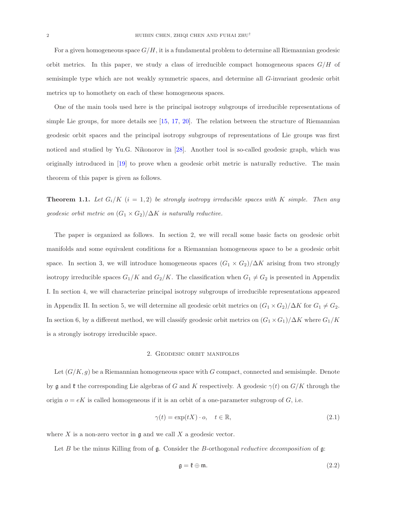For a given homogeneous space  $G/H$ , it is a fundamental problem to determine all Riemannian geodesic orbit metrics. In this paper, we study a class of irreducible compact homogeneous spaces  $G/H$  of semisimple type which are not weakly symmetric spaces, and determine all G-invariant geodesic orbit metrics up to homothety on each of these homogeneous spaces.

One of the main tools used here is the principal isotropy subgroups of irreducible representations of simple Lie groups, for more details see [\[15,](#page-11-21) [17,](#page-11-22) [20\]](#page-11-23). The relation between the structure of Riemannian geodesic orbit spaces and the principal isotropy subgroups of representations of Lie groups was first noticed and studied by Yu.G. Nikonorov in [\[28\]](#page-11-24). Another tool is so-called geodesic graph, which was originally introduced in [\[19\]](#page-11-0) to prove when a geodesic orbit metric is naturally reductive. The main theorem of this paper is given as follows.

<span id="page-1-1"></span>**Theorem 1.1.** Let  $G_i/K$  ( $i = 1, 2$ ) be strongly isotropy irreducible spaces with K simple. Then any *geodesic orbit metric on*  $(G_1 \times G_2)/\Delta K$  *is naturally reductive.* 

The paper is organized as follows. In section 2, we will recall some basic facts on geodesic orbit manifolds and some equivalent conditions for a Riemannian homogeneous space to be a geodesic orbit space. In section 3, we will introduce homogeneous spaces  $(G_1 \times G_2)/\Delta K$  arising from two strongly isotropy irreducible spaces  $G_1/K$  and  $G_2/K$ . The classification when  $G_1 \neq G_2$  is presented in Appendix I. In section 4, we will characterize principal isotropy subgroups of irreducible representations appeared in Appendix II. In section 5, we will determine all geodesic orbit metrics on  $(G_1 \times G_2)/\Delta K$  for  $G_1 \neq G_2$ . In section 6, by a different method, we will classify geodesic orbit metrics on  $(G_1 \times G_1)/\Delta K$  where  $G_1/K$ is a strongly isotropy irreducible space.

## 2. Geodesic orbit manifolds

Let  $(G/K, g)$  be a Riemannian homogeneous space with G compact, connected and semisimple. Denote by g and t the corresponding Lie algebras of G and K respectively. A geodesic  $\gamma(t)$  on  $G/K$  through the origin  $o = eK$  is called homogeneous if it is an orbit of a one-parameter subgroup of G, i.e.

$$
\gamma(t) = \exp(tX) \cdot o, \quad t \in \mathbb{R},\tag{2.1}
$$

where  $X$  is a non-zero vector in  $\mathfrak g$  and we call  $X$  a geodesic vector.

Let B be the minus Killing from of  $\mathfrak{g}$ . Consider the B-orthogonal reductive decomposition of  $\mathfrak{g}$ :

<span id="page-1-0"></span>
$$
\mathfrak{g} = \mathfrak{k} \oplus \mathfrak{m}.\tag{2.2}
$$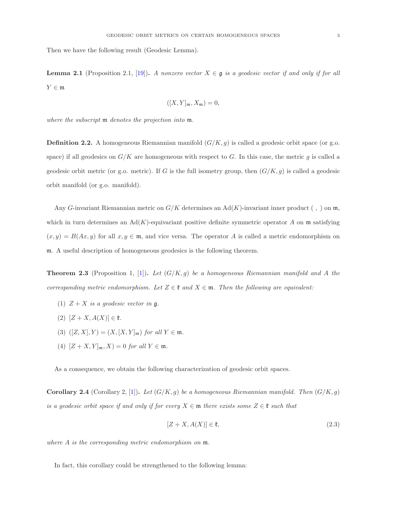Then we have the following result (Geodesic Lemma).

**Lemma 2.1** (Proposition 2.1, [\[19\]](#page-11-0)). *A nonzero vector*  $X \in \mathfrak{g}$  *is a geodesic vector if and only if for all*  $Y \in \mathfrak{m}$ 

$$
([X,Y]_{\mathfrak{m}},X_{\mathfrak{m}})=0,
$$

*where the subscript* m *denotes the projection into* m*.*

**Definition 2.2.** A homogeneous Riemannian manifold  $(G/K, g)$  is called a geodesic orbit space (or g.o. space) if all geodesics on  $G/K$  are homogeneous with respect to G. In this case, the metric g is called a geodesic orbit metric (or g.o. metric). If G is the full isometry group, then  $(G/K, g)$  is called a geodesic orbit manifold (or g.o. manifold).

Any G-invariant Riemannian metric on  $G/K$  determines an  $Ad(K)$ -invariant inner product  $( , )$  on  $\mathfrak{m}$ , which in turn determines an  $Ad(K)$ -equivariant positive definite symmetric operator A on  $\mathfrak m$  satisfying  $(x, y) = B(Ax, y)$  for all  $x, y \in \mathfrak{m}$ , and vice versa. The operator A is called a metric endomorphism on m. A useful description of homogeneous geodesics is the following theorem.

Theorem 2.3 (Proposition 1, [\[1\]](#page-10-1)). *Let* (G/K, g) *be a homogeneous Riemannian manifold and* A *the corresponding metric endomorphism. Let*  $Z \in \mathfrak{k}$  *and*  $X \in \mathfrak{m}$ *. Then the following are equivalent:* 

- (1)  $Z + X$  *is a geodesic vector in* **g**.
- (2)  $[Z + X, A(X)] \in \mathfrak{k}$ .
- (3)  $([Z, X], Y) = (X, [X, Y]_{\mathfrak{m}})$  *for all*  $Y \in \mathfrak{m}$ *.*
- (4)  $[Z + X, Y]_{\mathfrak{m}}, X$  = 0 *for all*  $Y \in \mathfrak{m}$ .

As a consequence, we obtain the following characterization of geodesic orbit spaces.

<span id="page-2-0"></span>**Corollary 2.4** (Corollary 2, [\[1\]](#page-10-1)). Let  $(G/K, g)$  be a homogeneous Riemannian manifold. Then  $(G/K, g)$ *is a geodesic orbit space if and only if for every*  $X \in \mathfrak{m}$  *there exists some*  $Z \in \mathfrak{k}$  *such that* 

<span id="page-2-1"></span>
$$
[Z+X, A(X)] \in \mathfrak{k},\tag{2.3}
$$

*where* A *is the corresponding metric endomorphism on* m*.*

In fact, this corollary could be strengthened to the following lemma: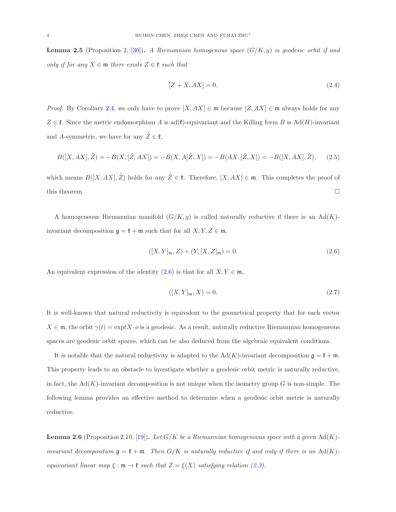<span id="page-3-2"></span>Lemma 2.5 (Proposition 2, [\[30\]](#page-11-25)). *A Riemannian homogenous space* (G/K, g) *is geodesic orbit if and only if for any*  $X \in \mathfrak{m}$  *there exists*  $Z \in \mathfrak{k}$  *such that* 

$$
[Z+X, AX] = 0.\t\t(2.4)
$$

*Proof.* By Corollary [2.4,](#page-2-0) we only have to prove  $[X, AX] \in \mathfrak{m}$  because  $[Z, AX] \in \mathfrak{m}$  always holds for any  $Z \in \mathfrak{k}$ . Since the metric endomorphism A is ad( $\mathfrak{k}$ )-equivariant and the Killing form B is Ad(H)-invariant and A-symmetric, we have for any  $\tilde{Z} \in \mathfrak{k}$ ,

$$
B([X, AX], \tilde{Z}) = -B(X, [\tilde{Z}, AX]) = -B(X, A[\tilde{Z}, X]) = -B(AX, [\tilde{Z}, X]) = -B([X, AX], \tilde{Z}), \quad (2.5)
$$

which means  $B([X, AX], \tilde{Z})$  holds for any  $\tilde{Z} \in \mathfrak{k}$ . Therefore,  $[X, AX] \in \mathfrak{m}$ . This completes the proof of this theorem.  $\Box$ 

A homogeneous Riemannian manifold  $(G/K, g)$  is called naturally reductive if there is an Ad(K)invariant decomposition  $\mathfrak{g} = \mathfrak{k} + \mathfrak{m}$  such that for all  $X, Y, Z \in \mathfrak{m}$ ,

<span id="page-3-0"></span>
$$
([X,Y]_{\mathfrak{m}},Z) + (Y,[X,Z]_{\mathfrak{m}}) = 0.
$$
\n(2.6)

An equivalent expression of the identity [\(2.6\)](#page-3-0) is that for all  $X, Y \in \mathfrak{m}$ ,

$$
([X,Y]_{\mathfrak{m}}, X) = 0. \tag{2.7}
$$

It is well-known that natural reductivity is equivalent to the geometrical property that for each vector  $X \in \mathfrak{m}$ , the orbit  $\gamma(t) = \exp t X \cdot o$  is a geodesic. As a result, naturally reductive Riemannian homogeneous spaces are geodesic orbit spaces, which can be also deduced from the algebraic equivalent conditions.

It is notable that the natural reductivity is adapted to the  $Ad(K)$ -invariant decomposition  $\mathfrak{g} = \mathfrak{k} + \mathfrak{m}$ . This property leads to an obstacle to investigate whether a geodesic orbit metric is naturally reductive, in fact, the  $Ad(K)$ -invariant decomposition is not unique when the isometry group G is non-simple. The following lemma provides an effective method to determine when a geodesic orbit metric is naturally reductive.

<span id="page-3-1"></span>**Lemma 2.6** (Proposition 2.10, [\[19\]](#page-11-0)). Let  $G/K$  be a Riemannian homogeneous space with a given  $Ad(K)$ *invariant decomposition*  $g = \mathfrak{k} + \mathfrak{m}$ *. Then*  $G/K$  *is naturally reductive if and only if there is an* Ad(K)*equivariant linear map*  $\xi : \mathfrak{m} \to \mathfrak{k}$  *such that*  $Z = \xi(X)$  *satisfying relation* [\(2.3\)](#page-2-1)*.*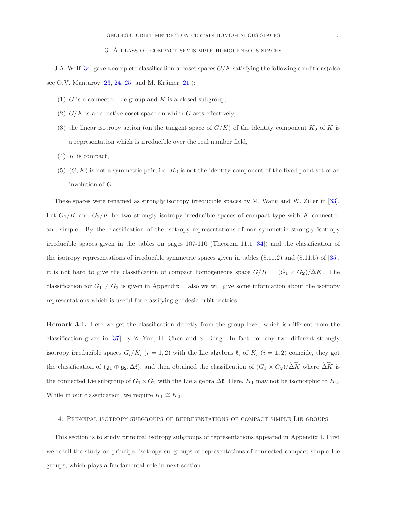### 3. A class of compact semisimple homogeneous spaces

J.A. Wolf [\[34\]](#page-11-26) gave a complete classification of coset spaces  $G/K$  satisfying the following conditions(also see O.V. Manturov  $[23, 24, 25]$  $[23, 24, 25]$  $[23, 24, 25]$  $[23, 24, 25]$  and M. Krämer  $[21]$ :

- (1)  $G$  is a connected Lie group and  $K$  is a closed subgroup,
- (2)  $G/K$  is a reductive coset space on which G acts effectively,
- (3) the linear isotropy action (on the tangent space of  $G/K$ ) of the identity component  $K_0$  of K is a representation which is irreducible over the real number field,
- $(4)$  K is compact,
- $(5)$   $(G, K)$  is not a symmetric pair, i.e.  $K_0$  is not the identity component of the fixed point set of an involution of G.

These spaces were renamed as strongly isotropy irreducible spaces by M. Wang and W. Ziller in [\[33\]](#page-11-31). Let  $G_1/K$  and  $G_2/K$  be two strongly isotropy irreducible spaces of compact type with K connected and simple. By the classification of the isotropy representations of non-symmetric strongly isotropy irreducible spaces given in the tables on pages  $107-110$  (Theorem 11.1 [\[34\]](#page-11-26)) and the classification of the isotropy representations of irreducible symmetric spaces given in tables (8.11.2) and (8.11.5) of [\[35\]](#page-11-32), it is not hard to give the classification of compact homogeneous space  $G/H = (G_1 \times G_2)/\Delta K$ . The classification for  $G_1 \neq G_2$  is given in Appendix I, also we will give some information about the isotropy representations which is useful for classifying geodesic orbit metrics.

Remark 3.1. Here we get the classification directly from the group level, which is different from the classification given in [\[37\]](#page-11-33) by Z. Yan, H. Chen and S. Deng. In fact, for any two different strongly isotropy irreducible spaces  $G_i/K_i$   $(i = 1, 2)$  with the Lie algebras  $\mathfrak{k}_i$  of  $K_i$   $(i = 1, 2)$  coincide, they got the classification of  $(\mathfrak{g}_1 \oplus \mathfrak{g}_2, \Delta \mathfrak{k})$ , and then obtained the classification of  $(G_1 \times G_2)/\Delta K$  where  $\Delta K$  is the connected Lie subgroup of  $G_1 \times G_2$  with the Lie algebra  $\Delta \mathfrak{k}$ . Here,  $K_1$  may not be isomorphic to  $K_2$ . While in our classification, we require  $K_1 \cong K_2$ .

## 4. Principal isotropy subgroups of representations of compact simple Lie groups

This section is to study principal isotropy subgroups of representations appeared in Appendix I. First we recall the study on principal isotropy subgroups of representations of connected compact simple Lie groups, which plays a fundamental role in next section.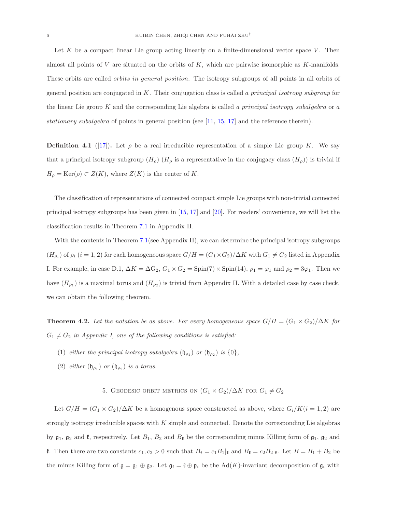Let  $K$  be a compact linear Lie group acting linearly on a finite-dimensional vector space  $V$ . Then almost all points of  $V$  are situated on the orbits of  $K$ , which are pairwise isomorphic as  $K$ -manifolds. These orbits are called *orbits in general position*. The isotropy subgroups of all points in all orbits of general position are conjugated in K. Their conjugation class is called a principal isotropy subgroup for the linear Lie group K and the corresponding Lie algebra is called a principal isotropy subalgebra or a stationary subalgebra of points in general position (see [\[11,](#page-11-17) [15,](#page-11-21) [17\]](#page-11-22) and the reference therein).

**Definition 4.1** ([\[17\]](#page-11-22)). Let  $\rho$  be a real irreducible representation of a simple Lie group K. We say that a principal isotropy subgroup  $(H_\rho)$   $(H_\rho)$  is a representative in the conjugacy class  $(H_\rho)$ ) is trivial if  $H_{\rho} = \text{Ker}(\rho) \subset Z(K)$ , where  $Z(K)$  is the center of K.

The classification of representations of connected compact simple Lie groups with non-trivial connected principal isotropy subgroups has been given in [\[15,](#page-11-21) [17\]](#page-11-22) and [\[20\]](#page-11-23). For readers' convenience, we will list the classification results in Theorem [7.1](#page-16-0) in Appendix II.

With the contents in Theorem 7.1 (see Appendix II), we can determine the principal isotropy subgroups  $(H_{\rho_i})$  of  $\rho_i$   $(i = 1, 2)$  for each homogeneous space  $G/H = (G_1 \times G_2)/\Delta K$  with  $G_1 \neq G_2$  listed in Appendix I. For example, in case D.1,  $\Delta K = \Delta G_2$ ,  $G_1 \times G_2 =$  Spin(7) × Spin(14),  $\rho_1 = \varphi_1$  and  $\rho_2 = 3\varphi_1$ . Then we have  $(H_{\rho_1})$  is a maximal torus and  $(H_{\rho_2})$  is trivial from Appendix II. With a detailed case by case check, we can obtain the following theorem.

<span id="page-5-0"></span>**Theorem 4.2.** Let the notation be as above. For every homogeneous space  $G/H = (G_1 \times G_2)/\Delta K$  for  $G_1 \neq G_2$  *in Appendix I, one of the following conditions is satisfied:* 

- (1) *either the principal isotropy subalgebra*  $(\mathfrak{h}_{\rho_1})$  *or*  $(\mathfrak{h}_{\rho_2})$  *is*  $\{0\},$
- (2) *either*  $(\mathfrak{h}_{\rho_1})$  *or*  $(\mathfrak{h}_{\rho_2})$  *is a torus.* 
	- 5. GEODESIC ORBIT METRICS ON  $(G_1 \times G_2)/\Delta K$  for  $G_1 \neq G_2$

Let  $G/H = (G_1 \times G_2)/\Delta K$  be a homogenous space constructed as above, where  $G_i/K(i = 1, 2)$  are strongly isotropy irreducible spaces with  $K$  simple and connected. Denote the corresponding Lie algebras by  $\mathfrak{g}_1$ ,  $\mathfrak{g}_2$  and  $\mathfrak{k}$ , respectively. Let  $B_1$ ,  $B_2$  and  $B_{\mathfrak{k}}$  be the corresponding minus Killing form of  $\mathfrak{g}_1$ ,  $\mathfrak{g}_2$  and **t**. Then there are two constants  $c_1, c_2 > 0$  such that  $B_{\mathfrak{k}} = c_1B_1|_{\mathfrak{k}}$  and  $B_{\mathfrak{k}} = c_2B_2|_{\mathfrak{k}}$ . Let  $B = B_1 + B_2$  be the minus Killing form of  $\mathfrak{g} = \mathfrak{g}_1 \oplus \mathfrak{g}_2$ . Let  $\mathfrak{g}_i = \mathfrak{k} \oplus \mathfrak{p}_i$  be the Ad(K)-invariant decomposition of  $\mathfrak{g}_i$  with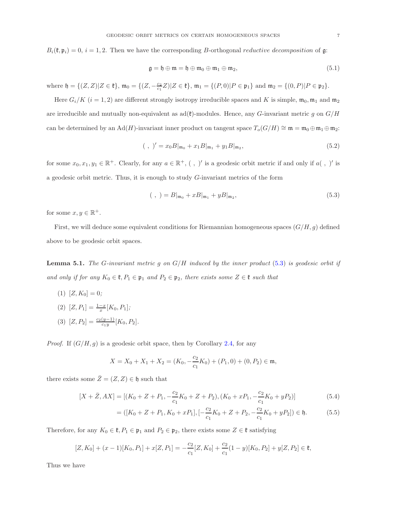$B_i(\mathfrak{k}, \mathfrak{p}_i) = 0, i = 1, 2$ . Then we have the corresponding B-orthogonal reductive decomposition of g.

$$
\mathfrak{g} = \mathfrak{h} \oplus \mathfrak{m} = \mathfrak{h} \oplus \mathfrak{m}_0 \oplus \mathfrak{m}_1 \oplus \mathfrak{m}_2, \tag{5.1}
$$

where  $\mathfrak{h} = \{(Z, Z) | Z \in \mathfrak{k} \}, \mathfrak{m}_0 = \{(Z, -\frac{c_2}{c_1}Z) | Z \in \mathfrak{k} \}, \mathfrak{m}_1 = \{(P, 0) | P \in \mathfrak{p}_1 \}$  and  $\mathfrak{m}_2 = \{(0, P) | P \in \mathfrak{p}_2 \}.$ 

Here  $G_i/K$  (i = 1, 2) are different strongly isotropy irreducible spaces and K is simple,  $\mathfrak{m}_0, \mathfrak{m}_1$  and  $\mathfrak{m}_2$ are irreducible and mutually non-equivalent as  $ad(\mathfrak{k})$ -modules. Hence, any G-invariant metric g on  $G/H$ can be determined by an Ad(H)-invariant inner product on tangent space  $T_o(G/H) \cong \mathfrak{m} = \mathfrak{m}_0 \oplus \mathfrak{m}_1 \oplus \mathfrak{m}_2$ :

$$
(\ ,\ )' = x_0 B|_{\mathfrak{m}_0} + x_1 B|_{\mathfrak{m}_1} + y_1 B|_{\mathfrak{m}_2},\tag{5.2}
$$

for some  $x_0, x_1, y_1 \in \mathbb{R}^+$ . Clearly, for any  $a \in \mathbb{R}^+$ , (, )' is a geodesic orbit metric if and only if  $a($ , )' is a geodesic orbit metric. Thus, it is enough to study G-invariant metrics of the form

<span id="page-6-0"></span>
$$
(\ ,\ ) = B|_{\mathfrak{m}_0} + xB|_{\mathfrak{m}_1} + yB|_{\mathfrak{m}_2},\tag{5.3}
$$

for some  $x, y \in \mathbb{R}^+$ .

First, we will deduce some equivalent conditions for Riemannian homogeneous spaces  $(G/H, g)$  defined above to be geodesic orbit spaces.

<span id="page-6-1"></span>Lemma 5.1. *The* G*-invariant metric* g *on* G/H *induced by the inner product* [\(5](#page-6-0).3) *is geodesic orbit if and only if for any*  $K_0 \in \mathfrak{k}, P_1 \in \mathfrak{p}_1$  *and*  $P_2 \in \mathfrak{p}_2$ *, there exists some*  $Z \in \mathfrak{k}$  *such that* 

- $(1)$   $[Z, K_0] = 0;$
- (2)  $[Z, P_1] = \frac{1-x}{x} [K_0, P_1];$
- (3)  $[Z, P_2] = \frac{c_2(y-1)}{c_1y} [K_0, P_2].$

*Proof.* If  $(G/H, g)$  is a geodesic orbit space, then by Corollary [2.4,](#page-2-0) for any

$$
X = X_0 + X_1 + X_2 = (K_0, -\frac{c_2}{c_1}K_0) + (P_1, 0) + (0, P_2) \in \mathfrak{m},
$$

there exists some  $\bar{Z} = (Z, Z) \in \mathfrak{h}$  such that

$$
[X + \bar{Z}, AX] = [(K_0 + Z + P_1, -\frac{c_2}{c_1}K_0 + Z + P_2), (K_0 + xP_1, -\frac{c_2}{c_1}K_0 + yP_2)]
$$
\n
$$
(5.4)
$$

$$
= ([K_0 + Z + P_1, K_0 + xP_1], [-\frac{c_2}{c_1}K_0 + Z + P_2, -\frac{c_2}{c_1}K_0 + yP_2]) \in \mathfrak{h}.
$$
 (5.5)

Therefore, for any  $K_0 \in \mathfrak{k}, P_1 \in \mathfrak{p}_1$  and  $P_2 \in \mathfrak{p}_2$ , there exists some  $Z \in \mathfrak{k}$  satisfying

$$
[Z, K_0] + (x - 1)[K_0, P_1] + x[Z, P_1] = -\frac{c_2}{c_1}[Z, K_0] + \frac{c_2}{c_1}(1 - y)[K_0, P_2] + y[Z, P_2] \in \mathfrak{k},
$$

Thus we have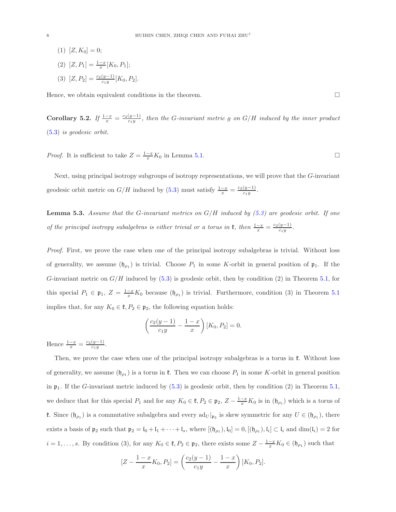- $(1)$   $[Z, K_0] = 0;$
- (2)  $[Z, P_1] = \frac{1-x}{x} [K_0, P_1];$
- (3)  $[Z, P_2] = \frac{c_2(y-1)}{c_1y} [K_0, P_2].$

Hence, we obtain equivalent conditions in the theorem.  $\Box$ 

<span id="page-7-0"></span>Corollary 5.2. *If*  $\frac{1-x}{x} = \frac{c_2(y-1)}{c_1y}$  $\frac{(y-1)}{c_1y}$ , then the *G*-invariant metric *g* on *G*/*H* induced by the inner product (5.[3\)](#page-6-0) *is geodesic orbit.*

*Proof.* It is sufficient to take  $Z = \frac{1-x}{x} K_0$  in Lemma [5.1.](#page-6-1)

Next, using principal isotropy subgroups of isotropy representations, we will prove that the G-invariant geodesic orbit metric on  $G/H$  induced by [\(5.3\)](#page-6-0) must satisfy  $\frac{1-x}{x} = \frac{c_2(y-1)}{c_1y}$  $\frac{(y-1)}{c_1y}$ .

<span id="page-7-1"></span>Lemma 5.3. *Assume that the* G*-invariant metrics on* G/H *induced by [\(5.3\)](#page-6-0) are geodesic orbit. If one of the principal isotropy subalgebras is either trivial or a torus in*  $\mathfrak{k}$ *, then*  $\frac{1-x}{x} = \frac{c_2(y-1)}{c_1y}$  $\frac{(y-1)}{c_1y}$ .

*Proof.* First, we prove the case when one of the principal isotropy subalgebras is trivial. Without loss of generality, we assume  $(\mathfrak{h}_{\rho_1})$  is trivial. Choose  $P_1$  in some K-orbit in general position of  $\mathfrak{p}_1$ . If the G-invariant metric on  $G/H$  induced by [\(5.3\)](#page-6-0) is geodesic orbit, then by condition (2) in Theorem [5.1,](#page-6-1) for this special  $P_1 \in \mathfrak{p}_1$ ,  $Z = \frac{1-x}{x} K_0$  because  $(\mathfrak{h}_{\rho_1})$  is trivial. Furthermore, condition (3) in Theorem [5.1](#page-6-1) implies that, for any  $K_0 \in \mathfrak{k}, P_2 \in \mathfrak{p}_2$ , the following equation holds:

$$
\left(\frac{c_2(y-1)}{c_1y} - \frac{1-x}{x}\right)[K_0, P_2] = 0.
$$

Hence  $\frac{1-x}{x} = \frac{c_2(y-1)}{c_1y}$  $\frac{(y-1)}{c_1y}$ .

Then, we prove the case when one of the principal isotropy subalgebras is a torus in  $\mathfrak{k}$ . Without loss of generality, we assume  $(\mathfrak{h}_{\rho_1})$  is a torus in  $\mathfrak{k}$ . Then we can choose  $P_1$  in some K-orbit in general position in  $\mathfrak{p}_1$ . If the G-invariant metric induced by [\(5.3\)](#page-6-0) is geodesic orbit, then by condition (2) in Theorem [5.1,](#page-6-1) we deduce that for this special  $P_1$  and for any  $K_0 \in \mathfrak{k}, P_2 \in \mathfrak{p}_2$ ,  $Z - \frac{1-x}{x} K_0$  is in  $(\mathfrak{h}_{\rho_1})$  which is a torus of **t**. Since  $(\mathfrak{h}_{\rho_1})$  is a commutative subalgebra and every  $\mathrm{ad}_U|_{\mathfrak{p}_2}$  is skew symmetric for any  $U \in (\mathfrak{h}_{\rho_1})$ , there exists a basis of  $\mathfrak{p}_2$  such that  $\mathfrak{p}_2 = \mathfrak{l}_0 + \mathfrak{l}_1 + \cdots + \mathfrak{l}_s$ , where  $[(\mathfrak{h}_{\rho_1}), \mathfrak{l}_0] = 0, [(\mathfrak{h}_{\rho_1}), \mathfrak{l}_i] \subset \mathfrak{l}_i$  and  $\dim(\mathfrak{l}_i) = 2$  for  $i = 1, \ldots, s$ . By condition (3), for any  $K_0 \in \mathfrak{k}, P_2 \in \mathfrak{p}_2$ , there exists some  $Z - \frac{1-x}{x} K_0 \in (\mathfrak{h}_{\rho_1})$  such that

$$
[Z - \frac{1-x}{x}K_0, P_2] = \left(\frac{c_2(y-1)}{c_1y} - \frac{1-x}{x}\right)[K_0, P_2].
$$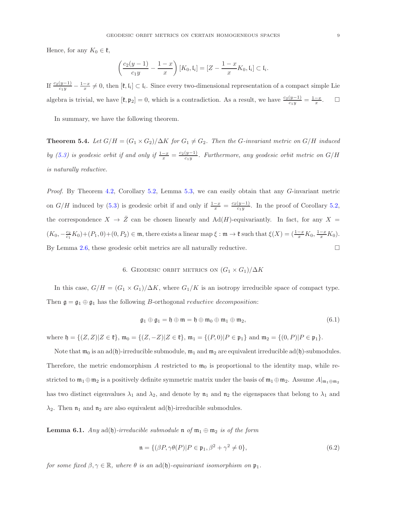Hence, for any  $K_0 \in \mathfrak{k}$ ,

$$
\left(\frac{c_2(y-1)}{c_1y}-\frac{1-x}{x}\right)[K_0,\mathfrak{l}_i]=[Z-\frac{1-x}{x}K_0,\mathfrak{l}_i]\subset \mathfrak{l}_i.
$$

If  $\frac{c_2(y-1)}{c_1y} - \frac{1-x}{x} \neq 0$ , then  $[\mathfrak{k}, \mathfrak{l}_i] \subset \mathfrak{l}_i$ . Since every two-dimensional representation of a compact simple Lie algebra is trivial, we have  $[\mathfrak{k}, \mathfrak{p}_2] = 0$ , which is a contradiction. As a result, we have  $\frac{c_2(y-1)}{c_1y} = \frac{1-x}{x}$  $\Box$ 

In summary, we have the following theorem.

<span id="page-8-1"></span>**Theorem 5.4.** *Let*  $G/H = (G_1 \times G_2)/\Delta K$  *for*  $G_1 \neq G_2$ *. Then the G*-*invariant metric on*  $G/H$  *induced by* [\(5.3\)](#page-6-0) *is geodesic orbit if and only if*  $\frac{1-x}{x} = \frac{c_2(y-1)}{c_1y}$  $\frac{(y-1)}{c_1y}$ . Furthermore, any geodesic orbit metric on  $G/H$ *is naturally reductive.*

*Proof.* By Theorem [4.2,](#page-5-0) Corollary [5.2,](#page-7-0) Lemma [5.3,](#page-7-1) we can easily obtain that any G-invariant metric on  $G/H$  induced by [\(5.3\)](#page-6-0) is geodesic orbit if and only if  $\frac{1-x}{x} = \frac{c_2(y-1)}{c_1y}$  $\frac{(y-1)}{c_1y}$ . In the proof of Corollary [5.2,](#page-7-0) the correspondence  $X \to \overline{Z}$  can be chosen linearly and Ad(H)-equivariantly. In fact, for any X =  $(K_0, -\frac{c_2}{c_1}K_0)+(P_1, 0)+(0, P_2) \in \mathfrak{m}$ , there exists a linear map  $\xi : \mathfrak{m} \to \mathfrak{k}$  such that  $\xi(X) = (\frac{1-x}{x}K_0, \frac{1-x}{x}K_0)$ . By Lemma [2.6,](#page-3-1) these geodesic orbit metrics are all naturally reductive.  $\Box$ 

6. GEODESIC ORBIT METRICS ON  $(G_1 \times G_1)/\Delta K$ 

In this case,  $G/H = (G_1 \times G_1)/\Delta K$ , where  $G_1/K$  is an isotropy irreducible space of compact type. Then  $\mathfrak{g} = \mathfrak{g}_1 \oplus \mathfrak{g}_1$  has the following *B*-orthogonal *reductive decomposition*:

$$
\mathfrak{g}_1 \oplus \mathfrak{g}_1 = \mathfrak{h} \oplus \mathfrak{m} = \mathfrak{h} \oplus \mathfrak{m}_0 \oplus \mathfrak{m}_1 \oplus \mathfrak{m}_2, \tag{6.1}
$$

where  $\mathfrak{h} = \{(Z, Z)|Z \in \mathfrak{k}\}, \mathfrak{m}_0 = \{(Z, -Z)|Z \in \mathfrak{k}\}, \mathfrak{m}_1 = \{(P, 0)|P \in \mathfrak{p}_1\}$  and  $\mathfrak{m}_2 = \{(0, P)|P \in \mathfrak{p}_1\}.$ 

Note that  $m_0$  is an ad(h)-irreducible submodule,  $m_1$  and  $m_2$  are equivalent irreducible ad(h)-submodules. Therefore, the metric endomorphism A restricted to  $m_0$  is proportional to the identity map, while restricted to  $\mathfrak{m}_1 \oplus \mathfrak{m}_2$  is a positively definite symmetric matrix under the basis of  $\mathfrak{m}_1 \oplus \mathfrak{m}_2$ . Assume  $A|_{\mathfrak{m}_1 \oplus \mathfrak{m}_2}$ has two distinct eigenvalues  $\lambda_1$  and  $\lambda_2$ , and denote by  $\mathfrak{n}_1$  and  $\mathfrak{n}_2$  the eigenspaces that belong to  $\lambda_1$  and  $\lambda_2$ . Then  $\mathfrak{n}_1$  and  $\mathfrak{n}_2$  are also equivalent ad(h)-irreducible submodules.

<span id="page-8-0"></span>**Lemma 6.1.** *Any* ad(b)*-irreducible submodule*  $\mathfrak{n}$  *of*  $\mathfrak{m}_1 \oplus \mathfrak{m}_2$  *is of the form* 

$$
\mathfrak{n} = \{ (\beta P, \gamma \theta(P) | P \in \mathfrak{p}_1, \beta^2 + \gamma^2 \neq 0 \},\tag{6.2}
$$

*for some fixed*  $\beta, \gamma \in \mathbb{R}$ *, where*  $\theta$  *is an* ad( $\theta$ )*-equivariant isomorphism on*  $\mathfrak{p}_1$ *.*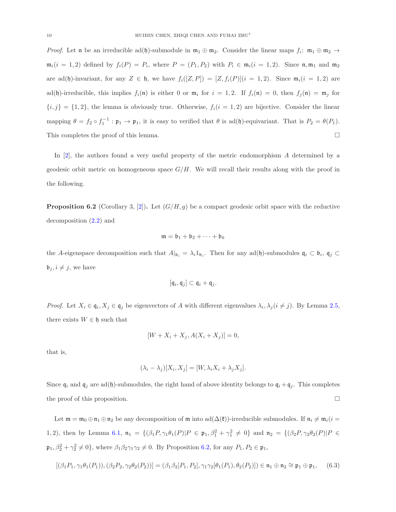*Proof.* Let **n** be an irreducible ad(h)-submodule in  $m_1 \oplus m_2$ . Consider the linear maps  $f_i$ :  $m_1 \oplus m_2 \rightarrow$  $\mathfrak{m}_i(i = 1, 2)$  defined by  $f_i(P) = P_i$ , where  $P = (P_1, P_2)$  with  $P_i \in \mathfrak{m}_i(i = 1, 2)$ . Since  $\mathfrak{n}, \mathfrak{m}_1$  and  $\mathfrak{m}_2$ are ad(b)-invariant, for any  $Z \in \mathfrak{h}$ , we have  $f_i([Z, P]) = [Z, f_i(P)](i = 1, 2)$ . Since  $\mathfrak{m}_i(i = 1, 2)$  are ad(b)-irreducible, this implies  $f_i(\mathfrak{n})$  is either 0 or  $\mathfrak{m}_i$  for  $i = 1, 2$ . If  $f_i(\mathfrak{n}) = 0$ , then  $f_j(\mathfrak{n}) = \mathfrak{m}_j$  for  ${i, j} = {1, 2}$ , the lemma is obviously true. Otherwise,  $f_i(i = 1, 2)$  are bijective. Consider the linear mapping  $\theta = f_2 \circ f_1^{-1} : \mathfrak{p}_1 \to \mathfrak{p}_1$ , it is easy to verified that  $\theta$  is ad(h)-equivariant. That is  $P_2 = \theta(P_1)$ . This completes the proof of this lemma.

In [\[2\]](#page-10-2), the authors found a very useful property of the metric endomorphism A determined by a geodesic orbit metric on homogeneous space  $G/H$ . We will recall their results along with the proof in the following.

<span id="page-9-0"></span>**Proposition 6.2** (Corollary 3, [\[2\]](#page-10-2)). Let  $(G/H, g)$  be a compact geodesic orbit space with the reductive decomposition [\(2.2\)](#page-1-0) and

$$
\mathfrak{m}=\mathfrak{b}_1+\mathfrak{b}_2+\cdots+\mathfrak{b}_k
$$

the A-eigenspace decomposition such that  $A|_{\mathfrak{b}_i} = \lambda_i 1_{\mathfrak{b}_i}$ . Then for any ad(h)-submodules  $\mathfrak{q}_i \subset \mathfrak{b}_i$ ,  $\mathfrak{q}_j \subset$  $\mathfrak{b}_j, i \neq j$ , we have

$$
[\mathfrak{q}_i,\mathfrak{q}_j]\subset \mathfrak{q}_i+\mathfrak{q}_j.
$$

*Proof.* Let  $X_i \in \mathfrak{q}_i, X_j \in \mathfrak{q}_j$  be eigenvectors of A with different eigenvalues  $\lambda_i, \lambda_j (i \neq j)$ . By Lemma [2.5,](#page-3-2) there exists  $W \in \mathfrak{h}$  such that

$$
[W + X_i + X_j, A(X_i + X_j)] = 0,
$$

that is,

$$
(\lambda_i - \lambda_j)[X_i, X_j] = [W, \lambda_i X_i + \lambda_j X_j].
$$

Since  $\mathfrak{q}_i$  and  $\mathfrak{q}_j$  are ad(h)-submodules, the right hand of above identity belongs to  $\mathfrak{q}_i + \mathfrak{q}_j$ . This completes the proof of this proposition.  $\Box$ 

Let  $\mathfrak{m} = \mathfrak{m}_0 \oplus \mathfrak{n}_1 \oplus \mathfrak{n}_2$  be any decomposition of  $\mathfrak{m}$  into ad $(\Delta(\mathfrak{k}))$ -irreducible submodules. If  $\mathfrak{n}_i \neq \mathfrak{m}_i(i =$ 1, 2), then by Lemma [6.1,](#page-8-0)  $\mathfrak{n}_1 = \{(\beta_1 P, \gamma_1 \theta_1 (P) | P \in \mathfrak{p}_1, \beta_1^2 + \gamma_1^2 \neq 0\}$  and  $\mathfrak{n}_2 = \{(\beta_2 P, \gamma_2 \theta_2 (P) | P \in \mathfrak{p}_1, \beta_1 \neq 0\}$  $\mathfrak{p}_1, \beta_2^2 + \gamma_2^2 \neq 0$ , where  $\beta_1 \beta_2 \gamma_1 \gamma_2 \neq 0$ . By Proposition [6.2,](#page-9-0) for any  $P_1, P_2 \in \mathfrak{p}_1$ ,

$$
[(\beta_1 P_1, \gamma_1 \theta_1(P_1)), (\beta_2 P_2, \gamma_2 \theta_2(P_2))] = (\beta_1 \beta_2 [P_1, P_2], \gamma_1 \gamma_2 [\theta_1(P_1), \theta_2(P_2)]) \in \mathfrak{n}_1 \oplus \mathfrak{n}_2 \cong \mathfrak{p}_1 \oplus \mathfrak{p}_1, \quad (6.3)
$$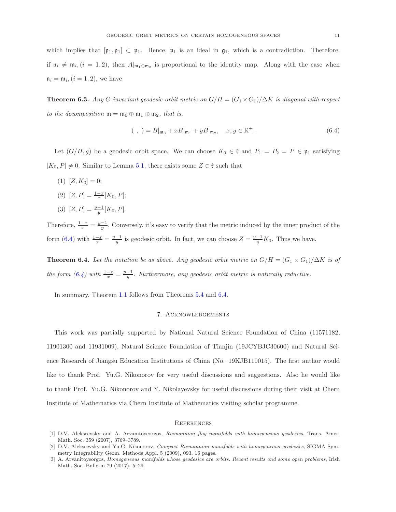which implies that  $[\mathfrak{p}_1, \mathfrak{p}_1] \subset \mathfrak{p}_1$ . Hence,  $\mathfrak{p}_1$  is an ideal in  $\mathfrak{g}_1$ , which is a contradiction. Therefore, if  $\mathfrak{n}_i \neq \mathfrak{m}_i$ ,  $(i = 1, 2)$ , then  $A|_{\mathfrak{m}_1 \oplus \mathfrak{m}_2}$  is proportional to the identity map. Along with the case when  $\mathfrak{n}_i = \mathfrak{m}_i, (i = 1, 2)$ , we have

**Theorem 6.3.** *Any G*-invariant geodesic orbit metric on  $G/H = (G_1 \times G_1)/\Delta K$  is diagonal with respect *to the decomposition*  $\mathfrak{m} = \mathfrak{m}_0 \oplus \mathfrak{m}_1 \oplus \mathfrak{m}_2$ , that is,

<span id="page-10-3"></span>
$$
(\ , \ ) = B|_{\mathfrak{m}_0} + xB|_{\mathfrak{m}_1} + yB|_{\mathfrak{m}_2}, \quad x, y \in \mathbb{R}^+.
$$
 (6.4)

Let  $(G/H, g)$  be a geodesic orbit space. We can choose  $K_0 \in \mathfrak{k}$  and  $P_1 = P_2 = P \in \mathfrak{p}_1$  satisfying  $[K_0, P] \neq 0$ . Similar to Lemma [5.1,](#page-6-1) there exists some  $Z \in \mathfrak{k}$  such that

- $(1)$   $[Z, K_0] = 0;$
- (2)  $[Z, P] = \frac{1-x}{x} [K_0, P];$
- (3)  $[Z, P] = \frac{y-1}{y} [K_0, P].$

Therefore,  $\frac{1-x}{x} = \frac{y-1}{y}$ . Conversely, it's easy to verify that the metric induced by the inner product of the form [\(6.4\)](#page-10-3) with  $\frac{1-x}{x} = \frac{y-1}{y}$  is geodesic orbit. In fact, we can choose  $Z = \frac{y-1}{y}K_0$ . Thus we have,

<span id="page-10-4"></span>**Theorem 6.4.** Let the notation be as above. Any geodesic orbit metric on  $G/H = (G_1 \times G_1)/\Delta K$  is of *the form*  $(6.4)$  *with*  $\frac{1-x}{x} = \frac{y-1}{y}$ *. Furthermore, any geodesic orbit metric is naturally reductive.* 

In summary, Theorem [1.1](#page-1-1) follows from Theorems [5.4](#page-8-1) and [6.4.](#page-10-4)

## 7. Acknowledgements

This work was partially supported by National Natural Science Foundation of China (11571182, 11901300 and 11931009), Natural Science Foundation of Tianjin (19JCYBJC30600) and Natural Science Research of Jiangsu Education Institutions of China (No. 19KJB110015). The first author would like to thank Prof. Yu.G. Nikonorov for very useful discussions and suggestions. Also he would like to thank Prof. Yu.G. Nikonorov and Y. Nikolayevsky for useful discussions during their visit at Chern Institute of Mathematics via Chern Institute of Mathematics visiting scholar programme.

#### **REFERENCES**

<span id="page-10-1"></span>[1] D.V. Alekseevsky and A. Arvanitoyeorgos, Riemannian flag manifolds with homogeneous geodesics, Trans. Amer. Math. Soc. 359 (2007), 3769–3789.

<span id="page-10-2"></span><sup>[2]</sup> D.V. Alekseevsky and Yu.G. Nikonorov, Compact Riemannian manifolds with homogeneous geodesics, SIGMA Symmetry Integrability Geom. Methods Appl. 5 (2009), 093, 16 pages.

<span id="page-10-0"></span><sup>[3]</sup> A. Arvanitoyeorgos, Homogeneous manifolds whose geodesics are orbits. Recent results and some open problems, Irish Math. Soc. Bulletin 79 (2017), 5–29.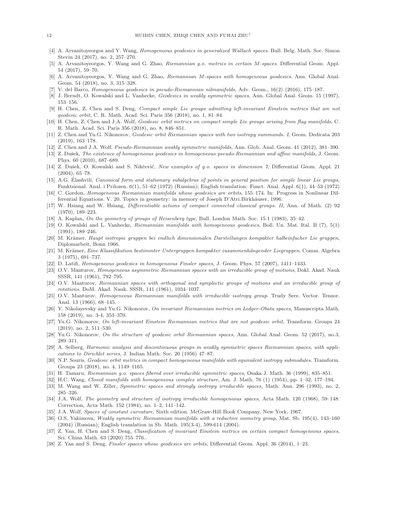- <span id="page-11-15"></span><span id="page-11-14"></span>[4] A. Arvanitoyeorgos and Y. Wang, *Homogeneous geodesics in generalized Wallach spaces*. Bull. Belg. Math. Soc. Simon Stevin 24 (2017), no. 2, 257–270.
- [5] A. Arvanitoyeorgos, Y. Wang and G. Zhao, Riemannian g.o. metrics in certain M-spaces. Differential Geom. Appl. 54 (2017), 59–70.
- <span id="page-11-16"></span><span id="page-11-4"></span>[6] A. Arvanitoyeorgos, Y. Wang and G. Zhao, Riemannian M-spaces with homogeneous geodesics. Ann. Global Anal. Geom. 54 (2018), no. 3, 315–328.
- <span id="page-11-11"></span>[7] V. del Barco, Homogeneous geodesics in pseudo-Riemannian nilmanifolds, Adv. Geom., 16(2) (2016), 175–187.
- <span id="page-11-1"></span>[8] J. Berndt, O. Kowalski and L. Vanhecke, Geodesics in weakly symmetric spaces, Ann. Global Anal. Geom. 15 (1997), 153–156.
- [9] H. Chen, Z. Chen and S. Deng, Compact simple Lie groups admitting left-invariant Einstein metrics that are not geodesic orbit, C. R. Math. Acad. Sci. Paris 356 (2018), no. 1, 81–84.
- <span id="page-11-2"></span>[10] H. Chen, Z. Chen and J.A. Wolf, Geodesic orbit metrics on compact simple Lie groups arising from flag manifolds, C. R. Math. Acad. Sci. Paris 356 (2018), no. 8, 846–851.
- <span id="page-11-17"></span>[11] Z. Chen and Yu.G. Nikonorov, Geodesic orbit Riemannian spaces with two isotropy summands. I, Geom. Dedicata 203 (2019), 163–178.
- <span id="page-11-6"></span><span id="page-11-5"></span>[12] Z. Chen and J.A. Wolf, Pseudo-Riemannian weakly symmetric manifolds, Ann. Glob. Anal. Geom. 41 (2012), 381–390.
- [13] Z. Dušek, The existence of homogeneous geodesics in homogeneous pseudo-Riemannian and affine manifolds, J. Geom. Phys. 60 (2010), 687–689.
- <span id="page-11-21"></span><span id="page-11-18"></span>[14] Z. Dušek, O. Kowalski and S. Nikčević, New examples of g.o. spaces in dimension 7, Differential Geom. Appl. 21 (2004), 65–78.
- [15] A.G. Elashvili, *Canonical form and stationary subalgebras of points in general position for simple linear Lie groups*, Funktsional. Anal. i Prilozen. 6(1), 51–62 (1972) (Russian); English translation: Funct. Anal. Appl. 6(1), 44–53 (1972)
- <span id="page-11-22"></span><span id="page-11-13"></span>[16] C. Gordon, Homogeneous Riemannian manifolds whose geodesics are orbits, 155–174. In: Progress in Nonlinear Differential Equations. V. 20. Topics in geometry: in memory of Joseph D'Atri.Birkhäuser, 1996.
- [17] W. Hsiang and W. Hsiang, Differentiable actions of compact connected classical groups. II, Ann. of Math. (2) 92 (1970), 189–223.
- <span id="page-11-9"></span><span id="page-11-0"></span>[18] A. Kaplan, On the geometry of groups of Heisenberg type, Bull. London Math. Soc. 15.1 (1983), 35–42.
- [19] O. Kowalski and L. Vanhecke, Riemannian manifolds with homogeneous geodesics, Boll. Un. Mat. Ital. B (7), 5(1) (1991), 189–246.
- <span id="page-11-23"></span>[20] M. Krämer, Haupt isotropie gruppen bei endlich dimensionalen Darstellungen kompakter halbeinfacher Lie gruppen, Diplomarbeit, Bonn 1966.
- <span id="page-11-30"></span>[21] M. Krämer, Eine Klassifikation bestimmter Untergruppen kompakter zusammenhängender Liegruppen. Comm. Algebra 3 (1975), 691–737.
- <span id="page-11-27"></span><span id="page-11-7"></span>[22] D. Latifi, Homogeneous geodesics in homogeneous Finsler spaces, J. Geom. Phys. 57 (2007), 1411-1433.
- [23] O.V. Manturov, Homogeneous asymmetric Riemannian spaces with an irreducible group of motions, Dokl. Akad. Nauk SSSR, 141 (1961), 792–795.
- <span id="page-11-28"></span>[24] O.V. Manturov, Riemannian spaces with orthogonal and symplectic groups of motions and an irreducible group of rotations. DoM. Akad. Nauk. SSSR, 141 (1961), 1034–1037.
- <span id="page-11-29"></span>[25] O.V. Manturov, Homogeneous Riemannian manifolds with irreducible isotropy group. Trudy Sere. Vector. Tenzor. Anal. 13 (1966), 68–145.
- <span id="page-11-19"></span>[26] Y. Nikolayevsky and Yu.G. Nikonorov, On invariant Riemannian metrics on Ledger-Obata spaces, Manuscripta Math. 158 (2019), no. 3-4, 353–370.
- <span id="page-11-3"></span>[27] Yu.G. Nikonorov, On left-invariant Einstein Riemannian metrics that are not geodesic orbit, Transform. Groups 24 (2019), no. 2, 511–530.
- <span id="page-11-24"></span><span id="page-11-10"></span>[28] Yu.G. Nikonorov, On the structure of geodesic orbit Riemannian spaces, Ann. Global Anal. Geom. 52 (2017), no.3, 289–311.
- [29] A. Selberg, Harmonic analysis and discontinuous groups in weakly symmetric spaces Riemannian spaces, with applications to Dirichlet series, J. Indian Math. Soc. 20 (1956) 47–87.
- <span id="page-11-25"></span>[30] N.P. Souris, Geodesic orbit metrics in compact homogeneous manifolds with equivalent isotropy submodules. Transform. Groups 23 (2018), no. 4, 1149–1165.
- <span id="page-11-20"></span>[31] H. Tamaru, Riemannian g.o. spaces fibered over irreducible symmetric spaces, Osaka J. Math. 36 (1999), 835–851.
- <span id="page-11-31"></span>[32] H.C. Wang, Closed manifolds with homogeneous complex structure, Am. J. Math. 76 (1) (1954), pp. 1–32, 177–194.
- [33] M. Wang and W. Ziller, Symmetric spaces and strongly isotropy irreducible spaces, Math. Ann. 296 (1993), no. 2, 285–326.
- <span id="page-11-26"></span>[34] J.A. Wolf, The geometry and structure of isotropy irreducible homogeneous spaces, Acta Math. 120 (1968), 59–148. Correction, Acta Math. 152 (1984), no. 1–2, 141–142.
- <span id="page-11-32"></span><span id="page-11-12"></span>[35] J.A. Wolf, Spaces of constant curvature, Sixth edition. McGraw-Hill Book Company, New York, 1967.
- [36] O.S. Yakimova, Weakly symmetric Riemannian manifolds with a reductive isometry group, Mat. Sb. 195(4), 143–160 (2004) (Russian); English translation in Sb. Math. 195(3-4), 599-614 (2004).
- <span id="page-11-33"></span>[37] Z. Yan, H. Chen and S. Deng, Classification of invariant Einstein metrics on certain compact homogeneous spaces, Sci. China Math. 63 (2020) 755–776..
- <span id="page-11-8"></span>[38] Z. Yan and S. Deng, *Finsler spaces whose geodesics are orbits*, Differential Geom. Appl. 36 (2014), 1–23.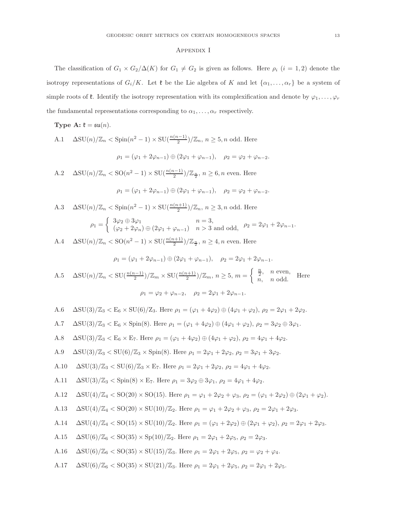## Appendix I

The classification of  $G_1 \times G_2/\Delta(K)$  for  $G_1 \neq G_2$  is given as follows. Here  $\rho_i$   $(i = 1, 2)$  denote the isotropy representations of  $G_i/K$ . Let  $\mathfrak k$  be the Lie algebra of K and let  $\{\alpha_1,\ldots,\alpha_r\}$  be a system of simple roots of  $\mathfrak k$ . Identify the isotropy representation with its complexification and denote by  $\varphi_1, \ldots, \varphi_r$ the fundamental representations corresponding to  $\alpha_1, \ldots, \alpha_r$  respectively.

Type A:  $\mathfrak{k} = \mathfrak{su}(n)$ .

A.1  $\Delta \text{SU}(n)/\mathbb{Z}_n < \text{Spin}(n^2-1) \times \text{SU}(\frac{n(n-1)}{2})/\mathbb{Z}_n, n \ge 5, n \text{ odd. Here}$ 

$$
\rho_1 = (\varphi_1 + 2\varphi_{n-1}) \oplus (2\varphi_1 + \varphi_{n-1}), \quad \rho_2 = \varphi_2 + \varphi_{n-2}.
$$

A.2  $\Delta \text{SU}(n)/\mathbb{Z}_n < \text{SO}(n^2-1) \times \text{SU}(\frac{n(n-1)}{2})/\mathbb{Z}_\frac{n}{2}, n \geq 6, n \text{ even. Here}$  $(x + 2y - 1) \oplus (2y - 1y - 1)$ 

$$
\rho_1 = (\varphi_1 + 2\varphi_{n-1}) \oplus (2\varphi_1 + \varphi_{n-1}), \quad \rho_2 = \varphi_2 + \varphi_{n-2}.
$$

A.3  $\Delta \text{SU}(n)/\mathbb{Z}_n < \text{Spin}(n^2-1) \times \text{SU}(\frac{n(n+1)}{2})/\mathbb{Z}_n, n \geq 3, n \text{ odd. Here}$  $\sqrt{2}$ 

$$
\rho_1 = \begin{cases} 3\varphi_2 \oplus 3\varphi_1 & n = 3, \\ (\varphi_2 + 2\varphi_n) \oplus (2\varphi_1 + \varphi_{n-1}) & n > 3 \text{ and odd}, \end{cases} \quad \rho_2 = 2\varphi_1 + 2\varphi_{n-1}.
$$

A.4  $\Delta \text{SU}(n)/\mathbb{Z}_n < \text{SO}(n^2-1) \times \text{SU}(\frac{n(n+1)}{2})/\mathbb{Z}_\frac{n}{2}, n \geq 4, n \text{ even. Here}$ 

$$
\rho_1 = (\varphi_1 + 2\varphi_{n-1}) \oplus (2\varphi_1 + \varphi_{n-1}), \quad \rho_2 = 2\varphi_1 + 2\varphi_{n-1}.
$$

A.5 
$$
\Delta \text{SU}(n)/\mathbb{Z}_n < \text{SU}(\frac{n(n-1)}{2})/\mathbb{Z}_m \times \text{SU}(\frac{n(n+1)}{2})/\mathbb{Z}_m, n \ge 5, m = \begin{cases} \frac{n}{2}, & n \text{ even}, \\ n, & n \text{ odd}. \end{cases}
$$
 Here\n
$$
\rho_1 = \varphi_2 + \varphi_{n-2}, \quad \rho_2 = 2\varphi_1 + 2\varphi_{n-1}.
$$

A.6  $\Delta SU(3)/\mathbb{Z}_3 < E_6 \times SU(6)/Z_3$ . Here  $\rho_1 = (\varphi_1 + 4\varphi_2) \oplus (4\varphi_1 + \varphi_2), \rho_2 = 2\varphi_1 + 2\varphi_2$ .

A.7  $\Delta SU(3)/\mathbb{Z}_3 < E_6 \times Spin(8)$ . Here  $\rho_1 = (\varphi_1 + 4\varphi_2) \oplus (4\varphi_1 + \varphi_2), \rho_2 = 3\varphi_2 \oplus 3\varphi_1$ .

A.8 
$$
\Delta SU(3)/\mathbb{Z}_3 < E_6 \times E_7
$$
. Here  $\rho_1 = (\varphi_1 + 4\varphi_2) \oplus (4\varphi_1 + \varphi_2), \ \rho_2 = 4\varphi_1 + 4\varphi_2$ .

A.9 
$$
\Delta SU(3)/\mathbb{Z}_3 < SU(6)/\mathbb{Z}_3 \times Spin(8)
$$
. Here  $\rho_1 = 2\varphi_1 + 2\varphi_2$ ,  $\rho_2 = 3\varphi_1 + 3\varphi_2$ .

A.10 
$$
\Delta SU(3)/\mathbb{Z}_3 < SU(6)/\mathbb{Z}_3 \times E_7
$$
. Here  $\rho_1 = 2\varphi_1 + 2\varphi_2$ ,  $\rho_2 = 4\varphi_1 + 4\varphi_2$ .

A.11 
$$
\Delta \text{SU}(3)/\mathbb{Z}_3 < \text{Spin}(8) \times E_7
$$
. Here  $\rho_1 = 3\varphi_2 \oplus 3\varphi_1$ ,  $\rho_2 = 4\varphi_1 + 4\varphi_2$ .

A.12 
$$
\Delta SU(4)/\mathbb{Z}_4 < SO(20) \times SO(15)
$$
. Here  $\rho_1 = \varphi_1 + 2\varphi_2 + \varphi_3$ ,  $\rho_2 = (\varphi_1 + 2\varphi_2) \oplus (2\varphi_1 + \varphi_2)$ .

A.13 
$$
\Delta SU(4)/\mathbb{Z}_4 < SO(20) \times SU(10)/\mathbb{Z}_2
$$
. Here  $\rho_1 = \varphi_1 + 2\varphi_2 + \varphi_3$ ,  $\rho_2 = 2\varphi_1 + 2\varphi_3$ .

A.14  $\Delta SU(4)/\mathbb{Z}_4 < SO(15) \times SU(10)/\mathbb{Z}_2$ . Here  $\rho_1 = (\varphi_1 + 2\varphi_2) \oplus (2\varphi_1 + \varphi_2), \rho_2 = 2\varphi_1 + 2\varphi_3$ .

A.15 
$$
\Delta SU(6)/\mathbb{Z}_6 < SO(35) \times Sp(10)/\mathbb{Z}_2
$$
. Here  $\rho_1 = 2\varphi_1 + 2\varphi_5$ ,  $\rho_2 = 2\varphi_3$ .

A.16 
$$
\Delta SU(6)/\mathbb{Z}_6 < SO(35) \times SU(15)/\mathbb{Z}_3
$$
. Here  $\rho_1 = 2\varphi_1 + 2\varphi_5$ ,  $\rho_2 = \varphi_2 + \varphi_4$ .

A.17 
$$
\Delta SU(6)/\mathbb{Z}_6 < SO(35) \times SU(21)/\mathbb{Z}_3
$$
. Here  $\rho_1 = 2\varphi_1 + 2\varphi_5$ ,  $\rho_2 = 2\varphi_1 + 2\varphi_5$ .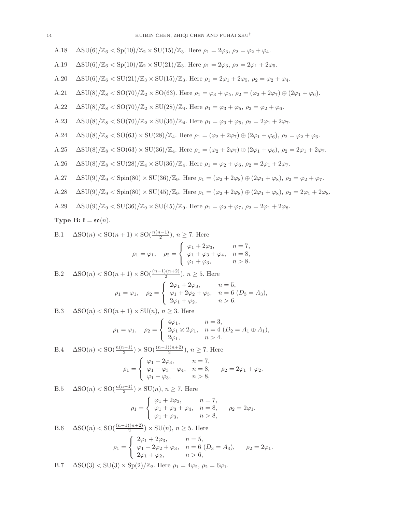A.18 
$$
\Delta \text{SU}(6)/\mathbb{Z}_6 < \text{Sp}(10)/\mathbb{Z}_2 \times \text{SU}(15)/\mathbb{Z}_3
$$
. Here  $\rho_1 = 2\varphi_3$ ,  $\rho_2 = \varphi_2 + \varphi_4$ .

A.19 
$$
\Delta SU(6)/\mathbb{Z}_6 < Sp(10)/\mathbb{Z}_2 \times SU(21)/\mathbb{Z}_3
$$
. Here  $\rho_1 = 2\varphi_3$ ,  $\rho_2 = 2\varphi_1 + 2\varphi_5$ .

- A.20  $\Delta SU(6)/\mathbb{Z}_6 < SU(21)/\mathbb{Z}_3 \times SU(15)/\mathbb{Z}_3$ . Here  $\rho_1 = 2\varphi_1 + 2\varphi_5$ ,  $\rho_2 = \varphi_2 + \varphi_4$ .
- A.21  $\Delta \text{SU}(8)/\mathbb{Z}_8 < \text{SO}(70)/\mathbb{Z}_2 \times \text{SO}(63)$ . Here  $\rho_1 = \varphi_3 + \varphi_5$ ,  $\rho_2 = (\varphi_2 + 2\varphi_7) \oplus (2\varphi_1 + \varphi_6)$ .

A.22 
$$
\Delta \text{SU}(8)/\mathbb{Z}_8 < \text{SO}(70)/\mathbb{Z}_2 \times \text{SU}(28)/\mathbb{Z}_4
$$
. Here  $\rho_1 = \varphi_3 + \varphi_5$ ,  $\rho_2 = \varphi_2 + \varphi_6$ .

A.23  $\Delta SU(8)/\mathbb{Z}_8 < SO(70)/\mathbb{Z}_2 \times SU(36)/\mathbb{Z}_4$ . Here  $\rho_1 = \varphi_3 + \varphi_5$ ,  $\rho_2 = 2\varphi_1 + 2\varphi_7$ .

A.24 
$$
\Delta SU(8)/\mathbb{Z}_8 < SO(63) \times SU(28)/\mathbb{Z}_4
$$
. Here  $\rho_1 = (\varphi_2 + 2\varphi_7) \oplus (2\varphi_1 + \varphi_6)$ ,  $\rho_2 = \varphi_2 + \varphi_6$ .

A.25 
$$
\Delta \text{SU}(8)/\mathbb{Z}_8 < \text{SO}(63) \times \text{SU}(36)/\mathbb{Z}_4
$$
. Here  $\rho_1 = (\varphi_2 + 2\varphi_7) \oplus (2\varphi_1 + \varphi_6), \rho_2 = 2\varphi_1 + 2\varphi_7$ .

A.26  $\Delta SU(8)/\mathbb{Z}_8 < SU(28)/\mathbb{Z}_4 \times SU(36)/\mathbb{Z}_4$ . Here  $\rho_1 = \varphi_2 + \varphi_6$ ,  $\rho_2 = 2\varphi_1 + 2\varphi_7$ .

A.27 
$$
\Delta \text{SU}(9)/\mathbb{Z}_9 < \text{Spin}(80) \times \text{SU}(36)/\mathbb{Z}_9
$$
. Here  $\rho_1 = (\varphi_2 + 2\varphi_8) \oplus (2\varphi_1 + \varphi_8)$ ,  $\rho_2 = \varphi_2 + \varphi_7$ .

A.28 
$$
\Delta \text{SU}(9)/\mathbb{Z}_9 < \text{Spin}(80) \times \text{SU}(45)/\mathbb{Z}_9
$$
. Here  $\rho_1 = (\varphi_2 + 2\varphi_8) \oplus (2\varphi_1 + \varphi_8)$ ,  $\rho_2 = 2\varphi_1 + 2\varphi_8$ .

A.29 
$$
\Delta \text{SU}(9)/\mathbb{Z}_9 < \text{SU}(36)/\mathbb{Z}_9 \times \text{SU}(45)/\mathbb{Z}_9
$$
. Here  $\rho_1 = \varphi_2 + \varphi_7$ ,  $\rho_2 = 2\varphi_1 + 2\varphi_8$ .

# Type B:  $\mathfrak{k} = \mathfrak{so}(n)$ .

B.1  $\Delta SO(n) < SO(n+1) \times SO(\frac{n(n-1)}{2}), n \ge 7$ . Here  $\rho_1 = \varphi_1, \quad \rho_2 =$  $\sqrt{ }$  $\int \varphi_1 + 2\varphi_3, \qquad n = 7,$  $\varphi_1 + \varphi_3 + \varphi_4$ ,  $n = 8$ ,

$$
\left( \begin{array}{ll} \varphi_1 + \varphi_3, & n > 8. \end{array} \right)
$$

B.2 
$$
\Delta SO(n) < SO(n+1) \times SO(\frac{(n-1)(n+2)}{2}), n \ge 5
$$
. Here

$$
\rho_1 = \varphi_1, \quad \rho_2 = \begin{cases} 2\varphi_1 + 2\varphi_3, & n = 5, \\ \varphi_1 + 2\varphi_2 + \varphi_3, & n = 6 \ (D_3 = A_3), \\ 2\varphi_1 + \varphi_2, & n > 6. \end{cases}
$$

B.3  $\Delta SO(n) < SO(n+1) \times SU(n), n \geq 3$ . Here

$$
\rho_1 = \varphi_1, \quad \rho_2 = \begin{cases}\n4\varphi_1, & n = 3, \\
2\varphi_1 \otimes 2\varphi_1, & n = 4 \ (D_2 = A_1 \oplus A_1), \\
2\varphi_1, & n > 4.\n\end{cases}
$$

B.4  $\Delta SO(n) < SO(\frac{n(n-1)}{2}) \times SO(\frac{(n-1)(n+2)}{2}), n \ge 7$ . Here  $\rho_1 =$  $\sqrt{ }$  $\mathsf{I}$  $\mathbf{I}$  $\varphi_1 + 2\varphi_3, \hspace{1cm} n = 7,$  $\varphi_1 + \varphi_3 + \varphi_4$ ,  $n = 8$ ,  $\varphi_1 + \varphi_3, \hspace{1cm} n > 8,$  $\rho_2 = 2\varphi_1 + \varphi_2.$ 

B.5  $\Delta SO(n) < SO(\frac{n(n-1)}{2}) \times SU(n), n \ge 7$ . Here

$$
\rho_1 = \begin{cases} \varphi_1 + 2\varphi_3, & n = 7, \\ \varphi_1 + \varphi_3 + \varphi_4, & n = 8, \\ \varphi_1 + \varphi_3, & n > 8, \end{cases} \quad \rho_2 = 2\varphi_1.
$$

B.6 
$$
\Delta SO(n) < SO(\frac{(n-1)(n+2)}{2}) \times SU(n), n \ge 5
$$
. Here  
\n
$$
\rho_1 = \begin{cases}\n2\varphi_1 + 2\varphi_3, & n = 5, \\
\varphi_1 + 2\varphi_2 + \varphi_3, & n = 6 \\
2\varphi_1 + \varphi_2, & n > 6,\n\end{cases} \quad \rho_2 = 2\varphi_1.
$$

B.7 
$$
\Delta SO(3) < SU(3) \times Sp(2)/\mathbb{Z}_2
$$
. Here  $\rho_1 = 4\varphi_2$ ,  $\rho_2 = 6\varphi_1$ .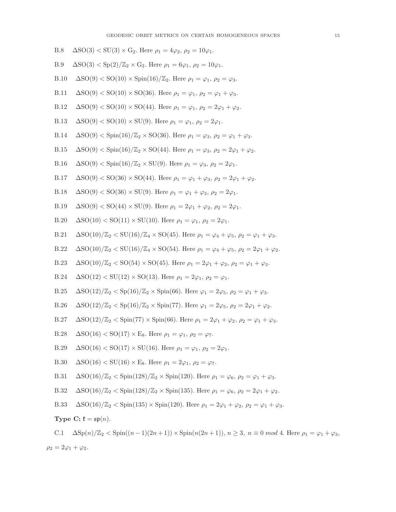B.8  $\Delta SO(3) < SU(3) \times G_2$ . Here  $\rho_1 = 4\varphi_2$ ,  $\rho_2 = 10\varphi_1$ .

B.9 
$$
\Delta SO(3) < Sp(2)/\mathbb{Z}_2 \times G_2
$$
. Here  $\rho_1 = 6\varphi_1$ ,  $\rho_2 = 10\varphi_1$ .

- B.10  $\Delta SO(9) < SO(10) \times Spin(16)/\mathbb{Z}_2$ . Here  $\rho_1 = \varphi_1$ ,  $\rho_2 = \varphi_3$ .
- B.11  $\Delta SO(9) < SO(10) \times SO(36)$ . Here  $\rho_1 = \varphi_1$ ,  $\rho_2 = \varphi_1 + \varphi_3$ .
- B.12  $\Delta SO(9) < SO(10) \times SO(44)$ . Here  $\rho_1 = \varphi_1, \rho_2 = 2\varphi_1 + \varphi_2$ .
- B.13  $\Delta SO(9) < SO(10) \times SU(9)$ . Here  $\rho_1 = \varphi_1$ ,  $\rho_2 = 2\varphi_1$ .
- B.14  $\Delta SO(9) <$  Spin(16)/ $\mathbb{Z}_2 \times SO(36)$ . Here  $\rho_1 = \varphi_3$ ,  $\rho_2 = \varphi_1 + \varphi_3$ .
- B.15  $\Delta SO(9) <$  Spin(16)/ $\mathbb{Z}_2 \times SO(44)$ . Here  $\rho_1 = \varphi_3$ ,  $\rho_2 = 2\varphi_1 + \varphi_2$ .
- B.16  $\Delta$ SO(9) < Spin(16)/ $\mathbb{Z}_2 \times$  SU(9). Here  $\rho_1 = \varphi_3$ ,  $\rho_2 = 2\varphi_1$ .
- B.17  $\Delta SO(9) < SO(36) \times SO(44)$ . Here  $\rho_1 = \varphi_1 + \varphi_3$ ,  $\rho_2 = 2\varphi_1 + \varphi_2$ .
- B.18  $\Delta SO(9) < SO(36) \times SU(9)$ . Here  $\rho_1 = \varphi_1 + \varphi_3$ ,  $\rho_2 = 2\varphi_1$ .
- B.19  $\Delta SO(9) < SO(44) \times SU(9)$ . Here  $\rho_1 = 2\varphi_1 + \varphi_2$ ,  $\rho_2 = 2\varphi_1$ .
- B.20  $\Delta SO(10) < SO(11) \times SU(10)$ . Here  $\rho_1 = \varphi_1, \rho_2 = 2\varphi_1$ .
- B.21  $\Delta SO(10)/\mathbb{Z}_2 < SU(16)/\mathbb{Z}_4 \times SO(45)$ . Here  $\rho_1 = \varphi_4 + \varphi_5$ ,  $\rho_2 = \varphi_1 + \varphi_3$ .
- B.22  $\Delta SO(10)/\mathbb{Z}_2 < SU(16)/\mathbb{Z}_4 \times SO(54)$ . Here  $\rho_1 = \varphi_4 + \varphi_5$ ,  $\rho_2 = 2\varphi_1 + \varphi_2$ .
- B.23  $\Delta SO(10)/\mathbb{Z}_2 < SO(54) \times SO(45)$ . Here  $\rho_1 = 2\varphi_1 + \varphi_2$ ,  $\rho_2 = \varphi_1 + \varphi_3$ .
- B.24  $\Delta SO(12) < SU(12) \times SO(13)$ . Here  $\rho_1 = 2\varphi_1, \rho_2 = \varphi_1$ .
- B.25  $\Delta$ SO(12)/ $\mathbb{Z}_2$  < Sp(16)/ $\mathbb{Z}_2$  × Spin(66). Here  $\varphi_1 = 2\varphi_5$ ,  $\rho_2 = \varphi_1 + \varphi_3$ .
- B.26  $\Delta$ SO(12)/ $\mathbb{Z}_2$  < Sp(16)/ $\mathbb{Z}_2$  × Spin(77). Here  $\varphi_1 = 2\varphi_5$ ,  $\rho_2 = 2\varphi_1 + \varphi_2$ .
- B.27  $\Delta SO(12)/\mathbb{Z}_2 <$  Spin(77)  $\times$  Spin(66). Here  $\rho_1 = 2\varphi_1 + \varphi_2$ ,  $\rho_2 = \varphi_1 + \varphi_3$ .
- B.28  $\Delta$ SO(16) < SO(17) × E<sub>8</sub>. Here  $\rho_1 = \varphi_1$ ,  $\rho_2 = \varphi_7$ .
- B.29  $\Delta$ SO(16) < SO(17) × SU(16). Here  $\rho_1 = \varphi_1, \rho_2 = 2\varphi_1$ .
- B.30  $\Delta SO(16) < SU(16) \times E_8$ . Here  $\rho_1 = 2\varphi_1$ ,  $\rho_2 = \varphi_7$ .
- B.31  $\Delta$ SO(16)/Z<sub>2</sub> < Spin(128)/Z<sub>2</sub> × Spin(120). Here  $\rho_1 = \varphi_6$ ,  $\rho_2 = \varphi_1 + \varphi_3$ .
- B.32  $\Delta$ SO(16)/ $\mathbb{Z}_2$  < Spin(128)/ $\mathbb{Z}_2$  × Spin(135). Here  $\rho_1 = \varphi_6$ ,  $\rho_2 = 2\varphi_1 + \varphi_2$ .
- B.33  $\Delta SO(16)/\mathbb{Z}_2 <$  Spin(135)  $\times$  Spin(120). Here  $\rho_1 = 2\varphi_1 + \varphi_2, \ \rho_2 = \varphi_1 + \varphi_3$ .

Type C:  $\mathfrak{k} = \mathfrak{sp}(n)$ .

C.1  $\Delta Sp(n)/\mathbb{Z}_2 < Sp(n)(n-1)(2n+1) \times Sp(n(n(2n+1)), n \geq 3, n \equiv 0 \mod 4.$  Here  $\rho_1 = \varphi_1 + \varphi_3$ ,  $\rho_2 = 2\varphi_1 + \varphi_2.$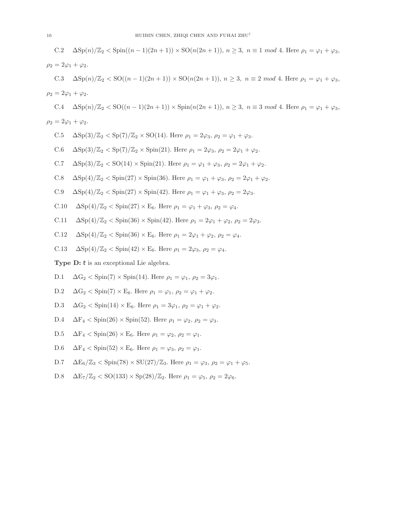C.2  $\Delta Sp(n)/\mathbb{Z}_2 < Sp(n)(n-1)(2n+1) \times SO(n(2n+1)), n \geq 3, n \equiv 1 \mod 4$ . Here  $\rho_1 = \varphi_1 + \varphi_3$ ,  $\rho_2 = 2\varphi_1 + \varphi_2.$ 

C.3  $\Delta Sp(n)/\mathbb{Z}_2 < SO((n-1)(2n+1)) \times SO(n(2n+1)), n \geq 3, n \equiv 2 \mod 4.$  Here  $\rho_1 = \varphi_1 + \varphi_3$ ,  $\rho_2 = 2\varphi_1 + \varphi_2.$ 

C.4  $\Delta Sp(n)/\mathbb{Z}_2 < SO((n-1)(2n+1)) \times Spin(n(2n+1)), n \geq 3, n \equiv 3 \mod 4$ . Here  $\rho_1 = \varphi_1 + \varphi_3$ ,  $\rho_2 = 2\varphi_1 + \varphi_2.$ 

- C.5  $\Delta Sp(3)/\mathbb{Z}_2 < Sp(7)/\mathbb{Z}_2 \times SO(14)$ . Here  $\rho_1 = 2\varphi_3$ ,  $\rho_2 = \varphi_1 + \varphi_3$ .
- C.6  $\Delta Sp(3)/\mathbb{Z}_2 < Sp(7)/\mathbb{Z}_2 \times Spin(21)$ . Here  $\rho_1 = 2\varphi_3$ ,  $\rho_2 = 2\varphi_1 + \varphi_2$ .
- C.7  $\Delta Sp(3)/\mathbb{Z}_2 < SO(14) \times Spin(21)$ . Here  $\rho_1 = \varphi_1 + \varphi_3$ ,  $\rho_2 = 2\varphi_1 + \varphi_2$ .
- C.8  $\Delta Sp(4)/\mathbb{Z}_2 <$  Spin(27)  $\times$  Spin(36). Here  $\rho_1 = \varphi_1 + \varphi_3$ ,  $\rho_2 = 2\varphi_1 + \varphi_2$ .
- C.9  $\Delta Sp(4)/\mathbb{Z}_2 <$  Spin(27)  $\times$  Spin(42). Here  $\rho_1 = \varphi_1 + \varphi_3$ ,  $\rho_2 = 2\varphi_3$ .
- C.10  $\Delta Sp(4)/\mathbb{Z}_2 < Spin(27) \times E_6$ . Here  $\rho_1 = \varphi_1 + \varphi_3$ ,  $\rho_2 = \varphi_4$ .
- C.11  $\Delta Sp(4)/\mathbb{Z}_2 < Spin(36) \times Spin(42)$ . Here  $\rho_1 = 2\varphi_1 + \varphi_2$ ,  $\rho_2 = 2\varphi_3$ .
- C.12  $\Delta Sp(4)/\mathbb{Z}_2 <$  Spin(36)  $\times$  E<sub>6</sub>. Here  $\rho_1 = 2\varphi_1 + \varphi_2$ ,  $\rho_2 = \varphi_4$ .
- C.13  $\Delta Sp(4)/\mathbb{Z}_2 <$  Spin(42)  $\times$  E<sub>6</sub>. Here  $\rho_1 = 2\varphi_3$ ,  $\rho_2 = \varphi_4$ .

Type  $D: \mathfrak{k}$  is an exceptional Lie algebra.

- D.1  $\Delta G_2 <$  Spin(7)  $\times$  Spin(14). Here  $\rho_1 = \varphi_1, \ \rho_2 = 3\varphi_1$ .
- D.2  $\Delta G_2 <$  Spin(7)  $\times$  E<sub>6</sub>. Here  $\rho_1 = \varphi_1, \, \rho_2 = \varphi_1 + \varphi_2$ .
- D.3  $\Delta G_2 <$  Spin(14)  $\times$  E<sub>6</sub>. Here  $\rho_1 = 3\varphi_1$ ,  $\rho_2 = \varphi_1 + \varphi_2$ .
- D.4  $\Delta F_4 <$  Spin(26)  $\times$  Spin(52). Here  $\rho_1 = \varphi_2, \rho_2 = \varphi_3$ .
- D.5  $\Delta F_4 <$  Spin(26)  $\times$  E<sub>6</sub>. Here  $\rho_1 = \varphi_2$ ,  $\rho_2 = \varphi_1$ .
- D.6  $\Delta F_4 <$  Spin(52)  $\times$  E<sub>6</sub>. Here  $\rho_1 = \varphi_3$ ,  $\rho_2 = \varphi_1$ .
- D.7  $\Delta E_6/\mathbb{Z}_3 <$  Spin(78)  $\times$  SU(27)/ $\mathbb{Z}_3$ . Here  $\rho_1 = \varphi_3$ ,  $\rho_2 = \varphi_1 + \varphi_5$ .
- D.8  $\Delta E_7/\mathbb{Z}_2 < SO(133) \times Sp(28)/\mathbb{Z}_2$ . Here  $\rho_1 = \varphi_5$ ,  $\rho_2 = 2\varphi_6$ .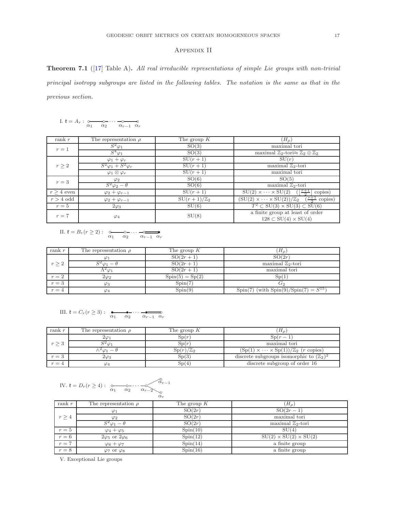## Appendix II

<span id="page-16-0"></span>Theorem 7.1 ([\[17\]](#page-11-22) Table A). *All real irreducible representations of simple Lie groups with non-trivial principal isotropy subgroups are listed in the following tables. The notation is the same as that in the previous section.*

I.  $\mathfrak{k} = A_r : \underbrace{\circ \bullet}_{\alpha_1} \underbrace{\circ \bullet}_{\alpha_2} \cdots \underbrace{\bullet}_{\alpha_{r-1}} \underbrace{\circ}_{\alpha_r}$ 

| rank $r$     | The representation $\rho$     | The group $K$          | $(H_o)$                                                                         |
|--------------|-------------------------------|------------------------|---------------------------------------------------------------------------------|
| $r=1$        | $S^2\varphi_1$                | SO(3)                  | maximal tori                                                                    |
|              | $S^4\varphi_1$                | SO(3)                  | maximal $\mathbb{Z}_2$ -tori $\approx \mathbb{Z}_2 \oplus \mathbb{Z}_2$         |
| $r\geq 2$    | $\varphi_1+\varphi_r$         | $SU(r+1)$              | SU(r)                                                                           |
|              | $S^2\varphi_1+S^2\varphi_r$   | $SU(r+1)$              | maximal $\mathbb{Z}_2$ -tori                                                    |
|              | $\varphi_1 \otimes \varphi_r$ | $SU(r+1)$              | maximal tori                                                                    |
| $r=3$        | $\varphi_2$                   | SO(6)                  | SO(5)                                                                           |
|              | $S^2\varphi_2-\theta$         | SO(6)                  | maximal $\mathbb{Z}_2$ -tori                                                    |
| $r > 4$ even | $\varphi_2+\varphi_{r-1}$     | $SU(r+1)$              | $SU(2) \times \cdots \times SU(2)$<br>copies)                                   |
| $r > 4$ odd  | $\varphi_2+\varphi_{r-1}$     | $SU(r+1)/\mathbb{Z}_2$ | $(SU(2) \times \cdots \times SU(2))/\mathbb{Z}_2$<br>$\frac{r+1}{2}$<br>copies) |
| $r=5$        | $2\varphi_3$                  | SU(6)                  | $T^2 \subset SU(3) \times SU(3) \subset SU(6)$                                  |
| $r=7$        | $\varphi_4$                   | SU(8)                  | a finite group at least of order                                                |
|              |                               |                        | $128 \subset SU(4) \times SU(4)$                                                |

II.  $\mathfrak{k} = B_r(r \geq 2) : \underbrace{\circ \bullet \bullet}_{\alpha_1} \underbrace{\bullet \bullet \bullet}_{\alpha_2} \cdots \underbrace{\bullet \bullet \bullet}_{\alpha_{r-1}} \underbrace{\bullet \bullet}_{\alpha_r}$ 

| rank $r$ | The representation $\rho$ | The group $K$     | $(H_o)$                                      |
|----------|---------------------------|-------------------|----------------------------------------------|
| r > 2    | φ1                        | $SO(2r+1)$        | SO(2r)                                       |
|          | $S^2\varphi_1-\theta$     | $SO(2r+1)$        | maximal $\mathbb{Z}_2$ -tori                 |
|          | $\Lambda^2 \varphi_1$     | $SO(2r+1)$        | maximal tori                                 |
| $r=2$    | $2\varphi_2$              | $Spin(5) = Sp(2)$ | Sp(1)                                        |
| $r=3$    | $\varphi_3$               | Spin(7)           | Go                                           |
| $r=4$    | $\varphi_4$               | Spin(9)           | $Spin(7)$ (with $Spin(9)/Spin(7) = S^{15}$ ) |

III. 
$$
\mathfrak{k} = C_r(r \geq 3): \underbrace{\bullet \bullet \bullet}_{\alpha_1} \cdots \underbrace{\bullet \bullet}_{\alpha_{r-1}} \cdots \underbrace{\bullet \bullet}_{\alpha_{r-1}})
$$

| rank $r$   | The representation $\rho$     | The group $K$                 | $H_o$                                                                |
|------------|-------------------------------|-------------------------------|----------------------------------------------------------------------|
| $r \geq 3$ | $2\varphi_1$                  | Sp(r)                         | $\mathrm{Sp}(r-$                                                     |
|            | $-\varphi_1$                  | Sp(r)                         | maximal tori                                                         |
|            | $\wedge^2 \varphi_1 - \theta$ | $\mathrm{Sp}(r)/\mathbb{Z}_2$ | $(Sp(1) \times \cdots \times Sp(1))/\mathbb{Z}_2$ ( <i>r</i> copies) |
| $r=3$      | $2\varphi_3$                  | Sp(3)                         | discrete subgroups isomorphic to $(\mathbb{Z}_2)^2$                  |
| $r=4$      | $\varphi_4$                   | Sp(4)                         | discrete subgroup of order 16                                        |

IV. 
$$
\mathfrak{k} = D_r(r \ge 4): \underbrace{\circ}_{\alpha_1} \underbrace{\circ}_{\alpha_2} \cdots \underbrace{\circ}_{\alpha_{r-2}} \underbrace{\circ}_{\alpha_r} \cdots
$$

| rank $r$   | The representation $\rho$                        | The group $K$ | $(H_{\rho})$                      |
|------------|--------------------------------------------------|---------------|-----------------------------------|
|            |                                                  | SO(2r)        | $SO(2r-1)$                        |
| $r \geq 4$ | $\varphi_2$                                      | SO(2r)        | maximal tori                      |
|            | $S^2\varphi_1-\theta$                            | SO(2r)        | maximal $\mathbb{Z}_2$ -tori      |
| $r=5$      | $\varphi_4+\varphi_5$                            | Spin(10)      | SU(4)                             |
| $r=6$      | $2\varphi_5$ or $2\varphi_6$                     | Spin(12)      | $SU(2) \times SU(2) \times SU(2)$ |
| $r=7$      | $\varphi_6+\varphi_7$                            | Spin(14)      | a finite group                    |
| $r = 8$    | $\varphi$ <sub>7</sub> or $\varphi$ <sub>8</sub> | Spin(16)      | a finite group                    |

V. Exceptional Lie groups